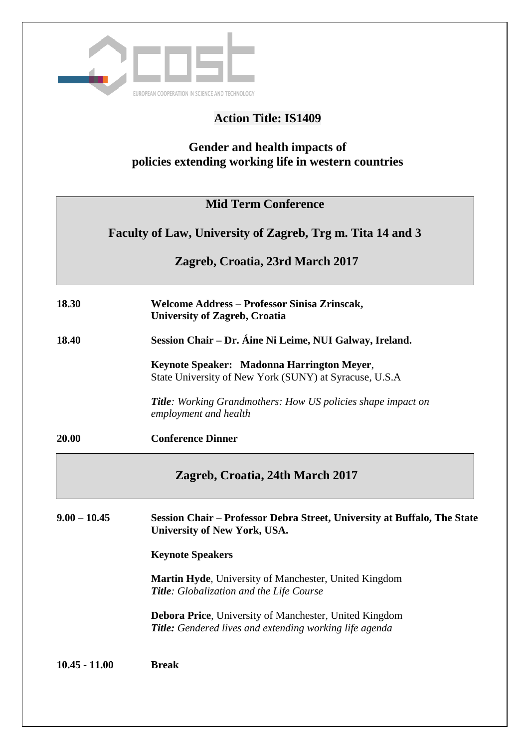

# **Action Title: IS1409**

## **Gender and health impacts of policies extending working life in western countries**

| <b>Mid Term Conference</b><br>Faculty of Law, University of Zagreb, Trg m. Tita 14 and 3<br>Zagreb, Croatia, 23rd March 2017 |                                                                                                                          |
|------------------------------------------------------------------------------------------------------------------------------|--------------------------------------------------------------------------------------------------------------------------|
|                                                                                                                              |                                                                                                                          |
| 18.40                                                                                                                        | Session Chair - Dr. Áine Ni Leime, NUI Galway, Ireland.                                                                  |
|                                                                                                                              | Keynote Speaker: Madonna Harrington Meyer,<br>State University of New York (SUNY) at Syracuse, U.S.A                     |
|                                                                                                                              | <b>Title</b> : Working Grandmothers: How US policies shape impact on<br>employment and health                            |
| 20.00                                                                                                                        | <b>Conference Dinner</b>                                                                                                 |
|                                                                                                                              | Zagreb, Croatia, 24th March 2017                                                                                         |
| $9.00 - 10.45$                                                                                                               | Session Chair – Professor Debra Street, University at Buffalo, The State<br><b>University of New York, USA.</b>          |
|                                                                                                                              | <b>Keynote Speakers</b>                                                                                                  |
|                                                                                                                              | Martin Hyde, University of Manchester, United Kingdom<br>Title: Globalization and the Life Course                        |
|                                                                                                                              | Debora Price, University of Manchester, United Kingdom<br><b>Title:</b> Gendered lives and extending working life agenda |
| $10.45 - 11.00$                                                                                                              | <b>Break</b>                                                                                                             |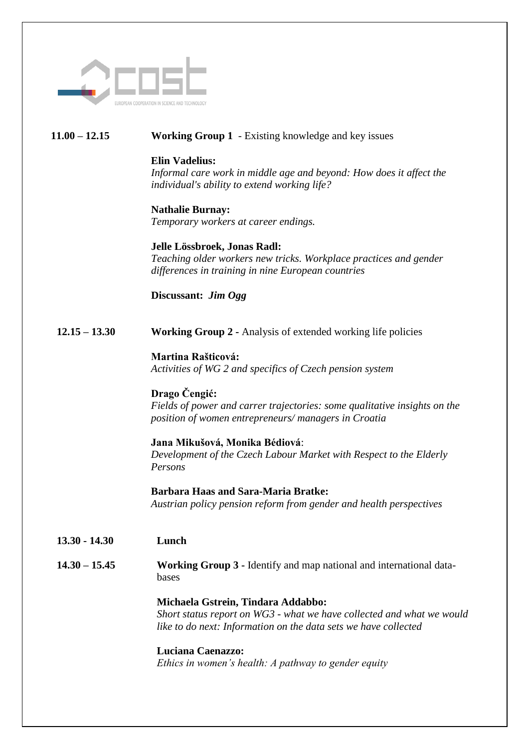

## **11.00 – 12.15 Working Group 1** - Existing knowledge and key issues

### **Elin Vadelius:**

*Informal care work in middle age and beyond: How does it affect the individual's ability to extend working life?* 

### **Nathalie Burnay:**

*Temporary workers at career endings.* 

### **Jelle Lössbroek, Jonas Radl:**

*Teaching older workers new tricks. Workplace practices and gender differences in training in nine European countries*

## **Discussant:** *Jim Ogg*

**12.15 – 13.30 Working Group 2 -** Analysis of extended working life policies

## **Martina Rašticová:**

*Activities of WG 2 and specifics of Czech pension system*

## **Drago Čengić:**

*Fields of power and carrer trajectories: some qualitative insights on the position of women entrepreneurs/ managers in Croatia*

## **Jana Mikušová, Monika Bédiová**:

*Development of the Czech Labour Market with Respect to the Elderly Persons*

#### **Barbara Haas and Sara-Maria Bratke:**  *Austrian policy pension reform from gender and health perspectives*

**13.30 - 14.30 Lunch**

### **14.30 – 15.45 Working Group 3 -** Identify and map national and international databases

## **Michaela Gstrein, Tindara Addabbo:**

*Short status report on WG3 - what we have collected and what we would like to do next: Information on the data sets we have collected*

## **Luciana Caenazzo:**

*Ethics in women's health: A pathway to gender equity*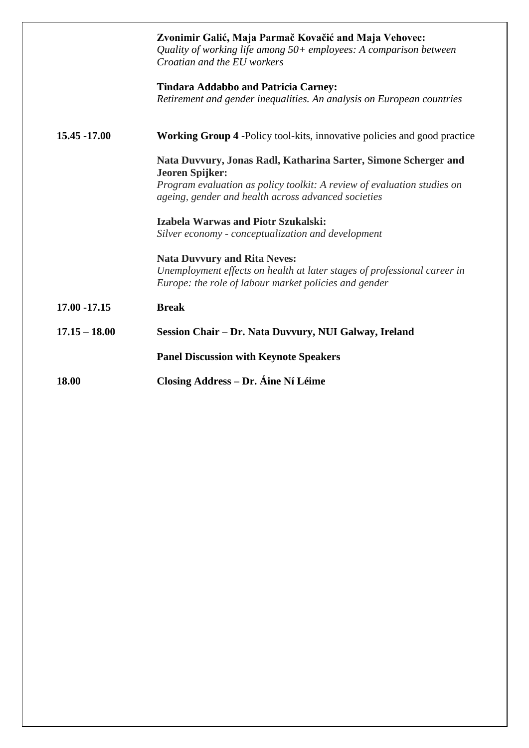|                 | Zvonimir Galić, Maja Parmač Kovačić and Maja Vehovec:<br>Quality of working life among $50+$ employees: A comparison between<br>Croatian and the EU workers |
|-----------------|-------------------------------------------------------------------------------------------------------------------------------------------------------------|
|                 | <b>Tindara Addabbo and Patricia Carney:</b><br>Retirement and gender inequalities. An analysis on European countries                                        |
| 15.45 -17.00    | <b>Working Group 4 -Policy tool-kits, innovative policies and good practice</b>                                                                             |
|                 | Nata Duvvury, Jonas Radl, Katharina Sarter, Simone Scherger and<br><b>Jeoren Spijker:</b>                                                                   |
|                 | Program evaluation as policy toolkit: A review of evaluation studies on<br>ageing, gender and health across advanced societies                              |
|                 | <b>Izabela Warwas and Piotr Szukalski:</b>                                                                                                                  |
|                 | Silver economy - conceptualization and development                                                                                                          |
|                 | <b>Nata Duvvury and Rita Neves:</b>                                                                                                                         |
|                 | Unemployment effects on health at later stages of professional career in<br>Europe: the role of labour market policies and gender                           |
| 17.00 -17.15    | <b>Break</b>                                                                                                                                                |
| $17.15 - 18.00$ | Session Chair - Dr. Nata Duvvury, NUI Galway, Ireland                                                                                                       |
|                 | <b>Panel Discussion with Keynote Speakers</b>                                                                                                               |
| 18.00           | <b>Closing Address – Dr. Áine Ní Léime</b>                                                                                                                  |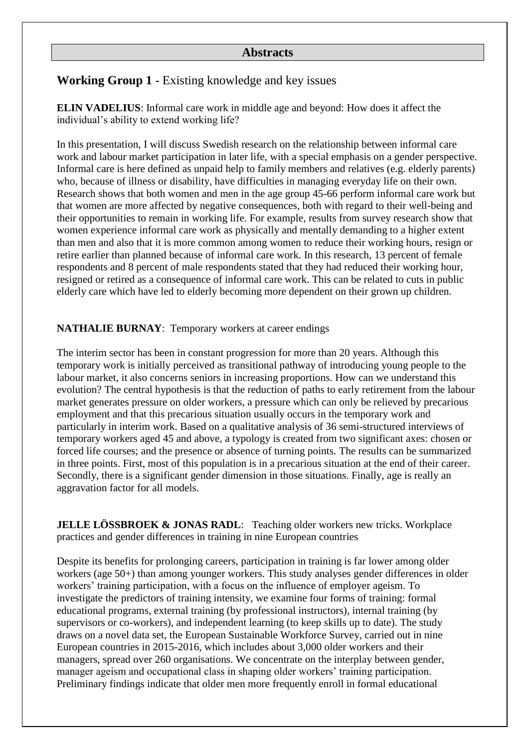## **Abstracts**

## **Working Group 1** - Existing knowledge and key issues

**ELIN VADELIUS**: Informal care work in middle age and beyond: How does it affect the individual's ability to extend working life?

In this presentation, I will discuss Swedish research on the relationship between informal care work and labour market participation in later life, with a special emphasis on a gender perspective. Informal care is here defined as unpaid help to family members and relatives (e.g. elderly parents) who, because of illness or disability, have difficulties in managing everyday life on their own. Research shows that both women and men in the age group 45-66 perform informal care work but that women are more affected by negative consequences, both with regard to their well-being and their opportunities to remain in working life. For example, results from survey research show that women experience informal care work as physically and mentally demanding to a higher extent than men and also that it is more common among women to reduce their working hours, resign or retire earlier than planned because of informal care work. In this research, 13 percent of female respondents and 8 percent of male respondents stated that they had reduced their working hour, resigned or retired as a consequence of informal care work. This can be related to cuts in public elderly care which have led to elderly becoming more dependent on their grown up children.

#### **NATHALIE BURNAY**: Temporary workers at career endings

The interim sector has been in constant progression for more than 20 years. Although this temporary work is initially perceived as transitional pathway of introducing young people to the labour market, it also concerns seniors in increasing proportions. How can we understand this evolution? The central hypothesis is that the reduction of paths to early retirement from the labour market generates pressure on older workers, a pressure which can only be relieved by precarious employment and that this precarious situation usually occurs in the temporary work and particularly in interim work. Based on a qualitative analysis of 36 semi-structured interviews of temporary workers aged 45 and above, a typology is created from two significant axes: chosen or forced life courses; and the presence or absence of turning points. The results can be summarized in three points. First, most of this population is in a precarious situation at the end of their career. Secondly, there is a significant gender dimension in those situations. Finally, age is really an aggravation factor for all models.

**JELLE LÖSSBROEK & JONAS RADL:** Teaching older workers new tricks. Workplace practices and gender differences in training in nine European countries

Despite its benefits for prolonging careers, participation in training is far lower among older workers (age 50+) than among younger workers. This study analyses gender differences in older workers' training participation, with a focus on the influence of employer ageism. To investigate the predictors of training intensity, we examine four forms of training: formal educational programs, external training (by professional instructors), internal training (by supervisors or co-workers), and independent learning (to keep skills up to date). The study draws on a novel data set, the European Sustainable Workforce Survey, carried out in nine European countries in 2015-2016, which includes about 3,000 older workers and their managers, spread over 260 organisations. We concentrate on the interplay between gender, manager ageism and occupational class in shaping older workers' training participation. Preliminary findings indicate that older men more frequently enroll in formal educational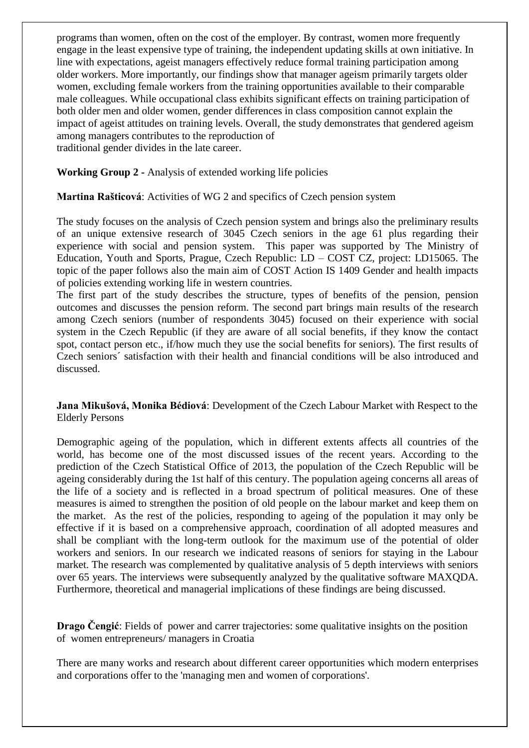programs than women, often on the cost of the employer. By contrast, women more frequently engage in the least expensive type of training, the independent updating skills at own initiative. In line with expectations, ageist managers effectively reduce formal training participation among older workers. More importantly, our findings show that manager ageism primarily targets older women, excluding female workers from the training opportunities available to their comparable male colleagues. While occupational class exhibits significant effects on training participation of both older men and older women, gender differences in class composition cannot explain the impact of ageist attitudes on training levels. Overall, the study demonstrates that gendered ageism among managers contributes to the reproduction of

traditional gender divides in the late career.

**Working Group 2 -** Analysis of extended working life policies

### **Martina Rašticová**: Activities of WG 2 and specifics of Czech pension system

The study focuses on the analysis of Czech pension system and brings also the preliminary results of an unique extensive research of 3045 Czech seniors in the age 61 plus regarding their experience with social and pension system. This paper was supported by The Ministry of Education, Youth and Sports, Prague, Czech Republic: LD – COST CZ, project: LD15065. The topic of the paper follows also the main aim of COST Action IS 1409 Gender and health impacts of policies extending working life in western countries.

The first part of the study describes the structure, types of benefits of the pension, pension outcomes and discusses the pension reform. The second part brings main results of the research among Czech seniors (number of respondents 3045) focused on their experience with social system in the Czech Republic (if they are aware of all social benefits, if they know the contact spot, contact person etc., if/how much they use the social benefits for seniors). The first results of Czech seniors´ satisfaction with their health and financial conditions will be also introduced and discussed.

**Jana Mikušová, Monika Bédiová**: Development of the Czech Labour Market with Respect to the Elderly Persons

Demographic ageing of the population, which in different extents affects all countries of the world, has become one of the most discussed issues of the recent years. According to the prediction of the Czech Statistical Office of 2013, the population of the Czech Republic will be ageing considerably during the 1st half of this century. The population ageing concerns all areas of the life of a society and is reflected in a broad spectrum of political measures. One of these measures is aimed to strengthen the position of old people on the labour market and keep them on the market. As the rest of the policies, responding to ageing of the population it may only be effective if it is based on a comprehensive approach, coordination of all adopted measures and shall be compliant with the long-term outlook for the maximum use of the potential of older workers and seniors. In our research we indicated reasons of seniors for staying in the Labour market. The research was complemented by qualitative analysis of 5 depth interviews with seniors over 65 years. The interviews were subsequently analyzed by the qualitative software MAXQDA. Furthermore, theoretical and managerial implications of these findings are being discussed.

**Drago Čengić**: Fields of power and carrer trajectories: some qualitative insights on the position of women entrepreneurs/ managers in Croatia

There are many works and research about different career opportunities which modern enterprises and corporations offer to the 'managing men and women of corporations'.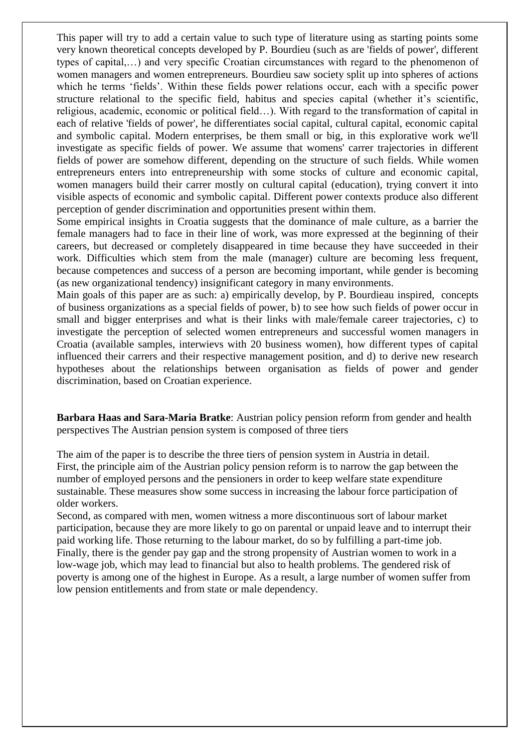This paper will try to add a certain value to such type of literature using as starting points some very known theoretical concepts developed by P. Bourdieu (such as are 'fields of power', different types of capital,…) and very specific Croatian circumstances with regard to the phenomenon of women managers and women entrepreneurs. Bourdieu saw society split up into spheres of actions which he terms 'fields'. Within these fields power relations occur, each with a specific power structure relational to the specific field, habitus and species capital (whether it's scientific, religious, academic, economic or political field…). With regard to the transformation of capital in each of relative 'fields of power', he differentiates social capital, cultural capital, economic capital and symbolic capital. Modern enterprises, be them small or big, in this explorative work we'll investigate as specific fields of power. We assume that womens' carrer trajectories in different fields of power are somehow different, depending on the structure of such fields. While women entrepreneurs enters into entrepreneurship with some stocks of culture and economic capital, women managers build their carrer mostly on cultural capital (education), trying convert it into visible aspects of economic and symbolic capital. Different power contexts produce also different perception of gender discrimination and opportunities present within them.

Some empirical insights in Croatia suggests that the dominance of male culture, as a barrier the female managers had to face in their line of work, was more expressed at the beginning of their careers, but decreased or completely disappeared in time because they have succeeded in their work. Difficulties which stem from the male (manager) culture are becoming less frequent, because competences and success of a person are becoming important, while gender is becoming (as new organizational tendency) insignificant category in many environments.

Main goals of this paper are as such: a) empirically develop, by P. Bourdieau inspired, concepts of business organizations as a special fields of power, b) to see how such fields of power occur in small and bigger enterprises and what is their links with male/female career trajectories, c) to investigate the perception of selected women entrepreneurs and successful women managers in Croatia (available samples, interwievs with 20 business women), how different types of capital influenced their carrers and their respective management position, and d) to derive new research hypotheses about the relationships between organisation as fields of power and gender discrimination, based on Croatian experience.

**Barbara Haas and Sara-Maria Bratke**: Austrian policy pension reform from gender and health perspectives The Austrian pension system is composed of three tiers

The aim of the paper is to describe the three tiers of pension system in Austria in detail. First, the principle aim of the Austrian policy pension reform is to narrow the gap between the number of employed persons and the pensioners in order to keep welfare state expenditure sustainable. These measures show some success in increasing the labour force participation of older workers.

Second, as compared with men, women witness a more discontinuous sort of labour market participation, because they are more likely to go on parental or unpaid leave and to interrupt their paid working life. Those returning to the labour market, do so by fulfilling a part-time job. Finally, there is the gender pay gap and the strong propensity of Austrian women to work in a low-wage job, which may lead to financial but also to health problems. The gendered risk of poverty is among one of the highest in Europe. As a result, a large number of women suffer from low pension entitlements and from state or male dependency.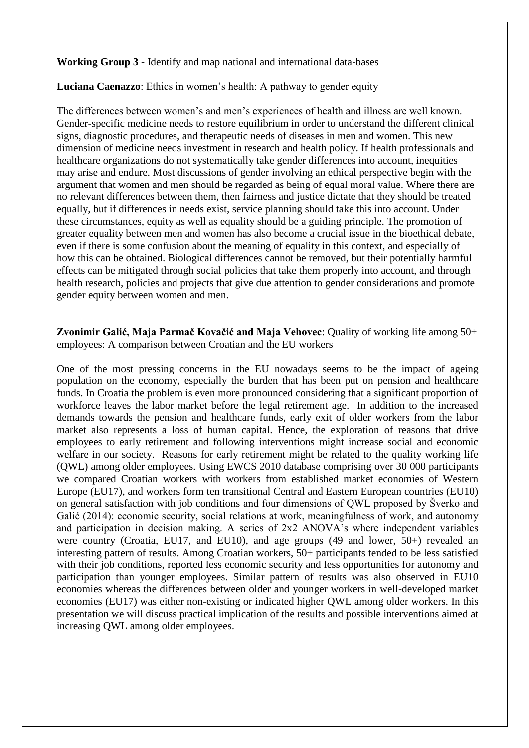**Working Group 3 -** Identify and map national and international data-bases

**Luciana Caenazzo**: Ethics in women's health: A pathway to gender equity

The differences between women's and men's experiences of health and illness are well known. Gender-specific medicine needs to restore equilibrium in order to understand the different clinical signs, diagnostic procedures, and therapeutic needs of diseases in men and women. This new dimension of medicine needs investment in research and health policy. If health professionals and healthcare organizations do not systematically take gender differences into account, inequities may arise and endure. Most discussions of gender involving an ethical perspective begin with the argument that women and men should be regarded as being of equal moral value. Where there are no relevant differences between them, then fairness and justice dictate that they should be treated equally, but if differences in needs exist, service planning should take this into account. Under these circumstances, equity as well as equality should be a guiding principle. The promotion of greater equality between men and women has also become a crucial issue in the bioethical debate, even if there is some confusion about the meaning of equality in this context, and especially of how this can be obtained. Biological differences cannot be removed, but their potentially harmful effects can be mitigated through social policies that take them properly into account, and through health research, policies and projects that give due attention to gender considerations and promote gender equity between women and men.

### **Zvonimir Galić, Maja Parmač Kovačić and Maja Vehovec**: Quality of working life among 50+ employees: A comparison between Croatian and the EU workers

One of the most pressing concerns in the EU nowadays seems to be the impact of ageing population on the economy, especially the burden that has been put on pension and healthcare funds. In Croatia the problem is even more pronounced considering that a significant proportion of workforce leaves the labor market before the legal retirement age. In addition to the increased demands towards the pension and healthcare funds, early exit of older workers from the labor market also represents a loss of human capital. Hence, the exploration of reasons that drive employees to early retirement and following interventions might increase social and economic welfare in our society. Reasons for early retirement might be related to the quality working life (QWL) among older employees. Using EWCS 2010 database comprising over 30 000 participants we compared Croatian workers with workers from established market economies of Western Europe (EU17), and workers form ten transitional Central and Eastern European countries (EU10) on general satisfaction with job conditions and four dimensions of QWL proposed by Šverko and Galić (2014): economic security, social relations at work, meaningfulness of work, and autonomy and participation in decision making. A series of 2x2 ANOVA's where independent variables were country (Croatia, EU17, and EU10), and age groups (49 and lower, 50+) revealed an interesting pattern of results. Among Croatian workers, 50+ participants tended to be less satisfied with their job conditions, reported less economic security and less opportunities for autonomy and participation than younger employees. Similar pattern of results was also observed in EU10 economies whereas the differences between older and younger workers in well-developed market economies (EU17) was either non-existing or indicated higher QWL among older workers. In this presentation we will discuss practical implication of the results and possible interventions aimed at increasing QWL among older employees.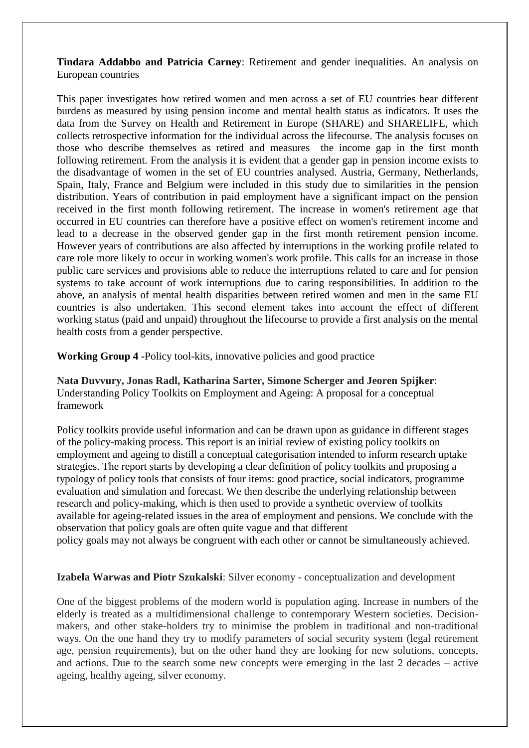**Tindara Addabbo and Patricia Carney**: Retirement and gender inequalities. An analysis on European countries

This paper investigates how retired women and men across a set of EU countries bear different burdens as measured by using pension income and mental health status as indicators. It uses the data from the Survey on Health and Retirement in Europe (SHARE) and SHARELIFE, which collects retrospective information for the individual across the lifecourse. The analysis focuses on those who describe themselves as retired and measures the income gap in the first month following retirement. From the analysis it is evident that a gender gap in pension income exists to the disadvantage of women in the set of EU countries analysed. Austria, Germany, Netherlands, Spain, Italy, France and Belgium were included in this study due to similarities in the pension distribution. Years of contribution in paid employment have a significant impact on the pension received in the first month following retirement. The increase in women's retirement age that occurred in EU countries can therefore have a positive effect on women's retirement income and lead to a decrease in the observed gender gap in the first month retirement pension income. However years of contributions are also affected by interruptions in the working profile related to care role more likely to occur in working women's work profile. This calls for an increase in those public care services and provisions able to reduce the interruptions related to care and for pension systems to take account of work interruptions due to caring responsibilities. In addition to the above, an analysis of mental health disparities between retired women and men in the same EU countries is also undertaken. This second element takes into account the effect of different working status (paid and unpaid) throughout the lifecourse to provide a first analysis on the mental health costs from a gender perspective.

**Working Group 4 -**Policy tool-kits, innovative policies and good practice

**Nata Duvvury, Jonas Radl, Katharina Sarter, Simone Scherger and Jeoren Spijker**: Understanding Policy Toolkits on Employment and Ageing: A proposal for a conceptual framework

Policy toolkits provide useful information and can be drawn upon as guidance in different stages of the policy-making process. This report is an initial review of existing policy toolkits on employment and ageing to distill a conceptual categorisation intended to inform research uptake strategies. The report starts by developing a clear definition of policy toolkits and proposing a typology of policy tools that consists of four items: good practice, social indicators, programme evaluation and simulation and forecast. We then describe the underlying relationship between research and policy-making, which is then used to provide a synthetic overview of toolkits available for ageing-related issues in the area of employment and pensions. We conclude with the observation that policy goals are often quite vague and that different

policy goals may not always be congruent with each other or cannot be simultaneously achieved.

#### **Izabela Warwas and Piotr Szukalski**: Silver economy - conceptualization and development

One of the biggest problems of the modern world is population aging. Increase in numbers of the elderly is treated as a multidimensional challenge to contemporary Western societies. Decisionmakers, and other stake-holders try to minimise the problem in traditional and non-traditional ways. On the one hand they try to modify parameters of social security system (legal retirement age, pension requirements), but on the other hand they are looking for new solutions, concepts, and actions. Due to the search some new concepts were emerging in the last 2 decades – active ageing, healthy ageing, silver economy.